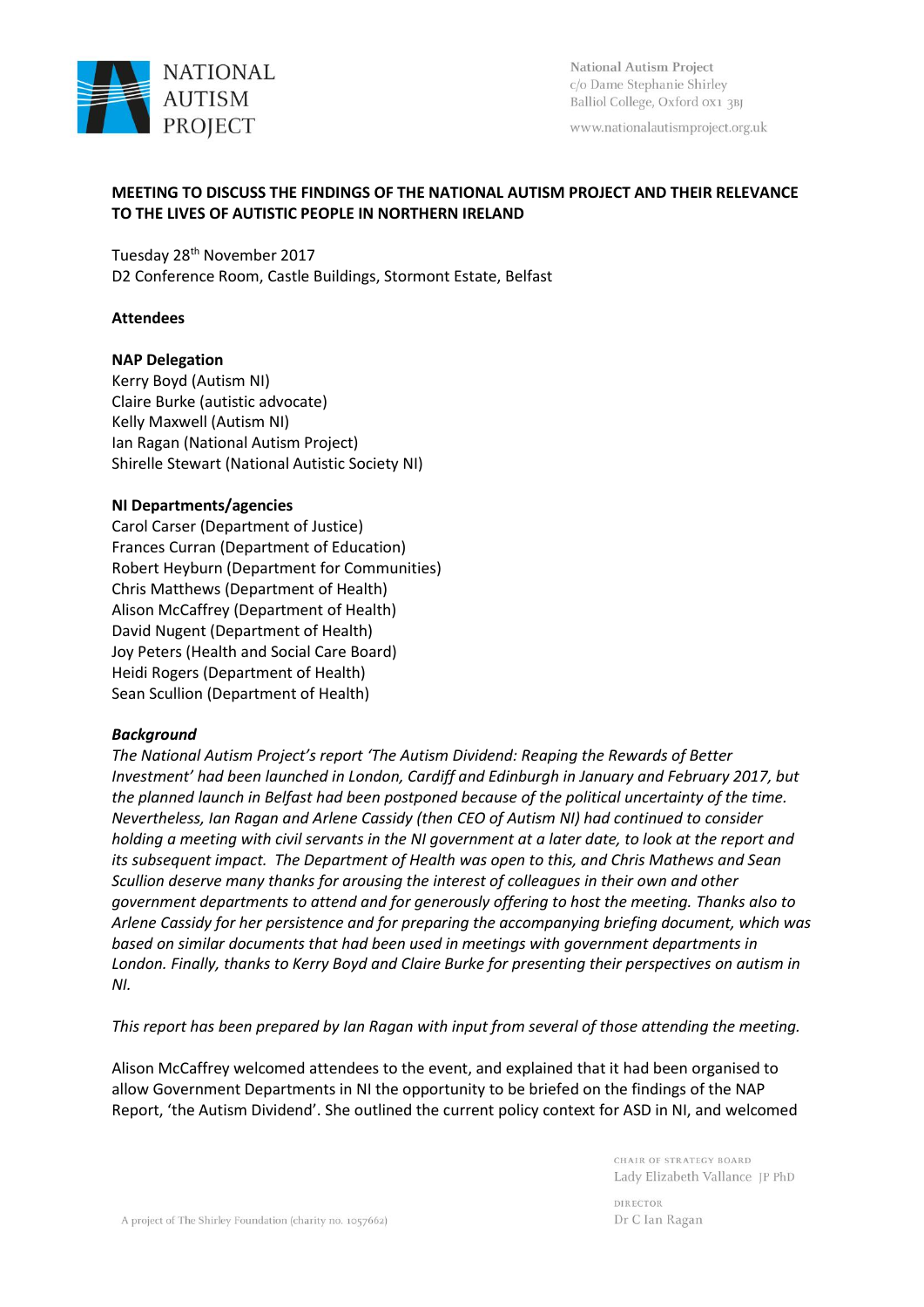

National Autism Project c/o Dame Stephanie Shirley Balliol College, Oxford ox1 3BJ

www.nationalautismproject.org.uk

# **MEETING TO DISCUSS THE FINDINGS OF THE NATIONAL AUTISM PROJECT AND THEIR RELEVANCE TO THE LIVES OF AUTISTIC PEOPLE IN NORTHERN IRELAND**

Tuesday 28th November 2017

D2 Conference Room, Castle Buildings, Stormont Estate, Belfast

## **Attendees**

## **NAP Delegation**

Kerry Boyd (Autism NI) Claire Burke (autistic advocate) Kelly Maxwell (Autism NI) Ian Ragan (National Autism Project) Shirelle Stewart (National Autistic Society NI)

## **NI Departments/agencies**

Carol Carser (Department of Justice) Frances Curran (Department of Education) Robert Heyburn (Department for Communities) Chris Matthews (Department of Health) Alison McCaffrey (Department of Health) David Nugent (Department of Health) Joy Peters (Health and Social Care Board) Heidi Rogers (Department of Health) Sean Scullion (Department of Health)

#### *Background*

*The National Autism Project's report 'The Autism Dividend: Reaping the Rewards of Better Investment' had been launched in London, Cardiff and Edinburgh in January and February 2017, but the planned launch in Belfast had been postponed because of the political uncertainty of the time. Nevertheless, Ian Ragan and Arlene Cassidy (then CEO of Autism NI) had continued to consider holding a meeting with civil servants in the NI government at a later date, to look at the report and its subsequent impact. The Department of Health was open to this, and Chris Mathews and Sean Scullion deserve many thanks for arousing the interest of colleagues in their own and other government departments to attend and for generously offering to host the meeting. Thanks also to Arlene Cassidy for her persistence and for preparing the accompanying briefing document, which was based on similar documents that had been used in meetings with government departments in London. Finally, thanks to Kerry Boyd and Claire Burke for presenting their perspectives on autism in NI.* 

*This report has been prepared by Ian Ragan with input from several of those attending the meeting.* 

Alison McCaffrey welcomed attendees to the event, and explained that it had been organised to allow Government Departments in NI the opportunity to be briefed on the findings of the NAP Report, 'the Autism Dividend'. She outlined the current policy context for ASD in NI, and welcomed

> CHAIR OF STRATEGY BOARD Lady Elizabeth Vallance JP PhD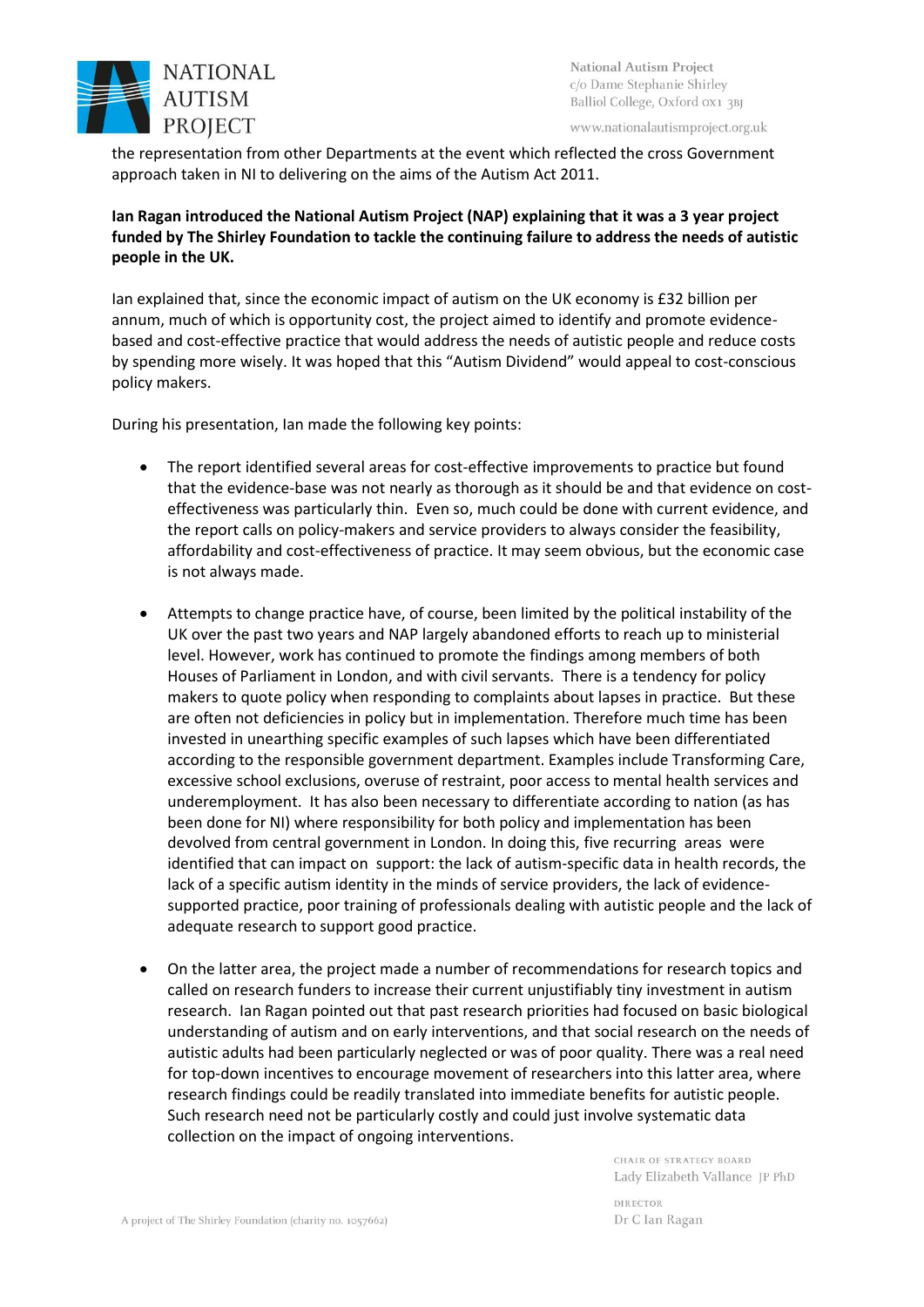

www.nationalautismproject.org.uk

the representation from other Departments at the event which reflected the cross Government approach taken in NI to delivering on the aims of the Autism Act 2011.

**Ian Ragan introduced the National Autism Project (NAP) explaining that it was a 3 year project funded by The Shirley Foundation to tackle the continuing failure to address the needs of autistic people in the UK.** 

Ian explained that, since the economic impact of autism on the UK economy is £32 billion per annum, much of which is opportunity cost, the project aimed to identify and promote evidencebased and cost-effective practice that would address the needs of autistic people and reduce costs by spending more wisely. It was hoped that this "Autism Dividend" would appeal to cost-conscious policy makers.

During his presentation, Ian made the following key points:

- The report identified several areas for cost-effective improvements to practice but found that the evidence-base was not nearly as thorough as it should be and that evidence on costeffectiveness was particularly thin. Even so, much could be done with current evidence, and the report calls on policy-makers and service providers to always consider the feasibility, affordability and cost-effectiveness of practice. It may seem obvious, but the economic case is not always made.
- Attempts to change practice have, of course, been limited by the political instability of the UK over the past two years and NAP largely abandoned efforts to reach up to ministerial level. However, work has continued to promote the findings among members of both Houses of Parliament in London, and with civil servants. There is a tendency for policy makers to quote policy when responding to complaints about lapses in practice. But these are often not deficiencies in policy but in implementation. Therefore much time has been invested in unearthing specific examples of such lapses which have been differentiated according to the responsible government department. Examples include Transforming Care, excessive school exclusions, overuse of restraint, poor access to mental health services and underemployment. It has also been necessary to differentiate according to nation (as has been done for NI) where responsibility for both policy and implementation has been devolved from central government in London. In doing this, five recurring areas were identified that can impact on support: the lack of autism-specific data in health records, the lack of a specific autism identity in the minds of service providers, the lack of evidencesupported practice, poor training of professionals dealing with autistic people and the lack of adequate research to support good practice.
- On the latter area, the project made a number of recommendations for research topics and called on research funders to increase their current unjustifiably tiny investment in autism research. Ian Ragan pointed out that past research priorities had focused on basic biological understanding of autism and on early interventions, and that social research on the needs of autistic adults had been particularly neglected or was of poor quality. There was a real need for top-down incentives to encourage movement of researchers into this latter area, where research findings could be readily translated into immediate benefits for autistic people. Such research need not be particularly costly and could just involve systematic data collection on the impact of ongoing interventions.

CHAIR OF STRATEGY BOARD Lady Elizabeth Vallance JP PhD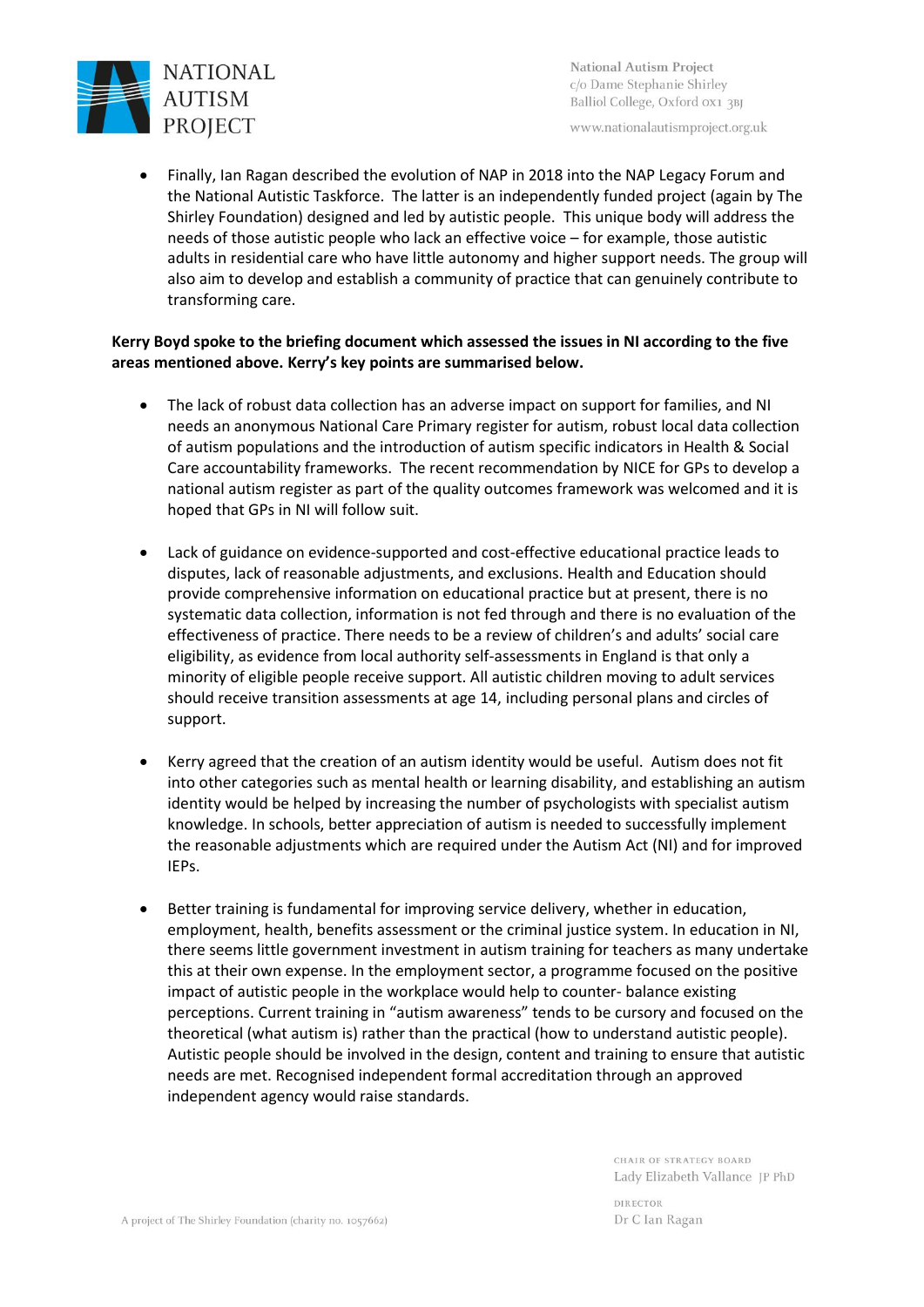

National Autism Project c/o Dame Stephanie Shirley Balliol College, Oxford 0X1 3BJ

www.nationalautismproject.org.uk

• Finally, Ian Ragan described the evolution of NAP in 2018 into the NAP Legacy Forum and the National Autistic Taskforce. The latter is an independently funded project (again by The Shirley Foundation) designed and led by autistic people. This unique body will address the needs of those autistic people who lack an effective voice – for example, those autistic adults in residential care who have little autonomy and higher support needs. The group will also aim to develop and establish a community of practice that can genuinely contribute to transforming care.

# **Kerry Boyd spoke to the briefing document which assessed the issues in NI according to the five areas mentioned above. Kerry's key points are summarised below.**

- The lack of robust data collection has an adverse impact on support for families, and NI needs an anonymous National Care Primary register for autism, robust local data collection of autism populations and the introduction of autism specific indicators in Health & Social Care accountability frameworks. The recent recommendation by NICE for GPs to develop a national autism register as part of the quality outcomes framework was welcomed and it is hoped that GPs in NI will follow suit.
- Lack of guidance on evidence-supported and cost-effective educational practice leads to disputes, lack of reasonable adjustments, and exclusions. Health and Education should provide comprehensive information on educational practice but at present, there is no systematic data collection, information is not fed through and there is no evaluation of the effectiveness of practice. There needs to be a review of children's and adults' social care eligibility, as evidence from local authority self-assessments in England is that only a minority of eligible people receive support. All autistic children moving to adult services should receive transition assessments at age 14, including personal plans and circles of support.
- Kerry agreed that the creation of an autism identity would be useful. Autism does not fit into other categories such as mental health or learning disability, and establishing an autism identity would be helped by increasing the number of psychologists with specialist autism knowledge. In schools, better appreciation of autism is needed to successfully implement the reasonable adjustments which are required under the Autism Act (NI) and for improved IEPs.
- Better training is fundamental for improving service delivery, whether in education, employment, health, benefits assessment or the criminal justice system. In education in NI, there seems little government investment in autism training for teachers as many undertake this at their own expense. In the employment sector, a programme focused on the positive impact of autistic people in the workplace would help to counter- balance existing perceptions. Current training in "autism awareness" tends to be cursory and focused on the theoretical (what autism is) rather than the practical (how to understand autistic people). Autistic people should be involved in the design, content and training to ensure that autistic needs are met. Recognised independent formal accreditation through an approved independent agency would raise standards.

CHAIR OF STRATEGY BOARD Lady Elizabeth Vallance JP PhD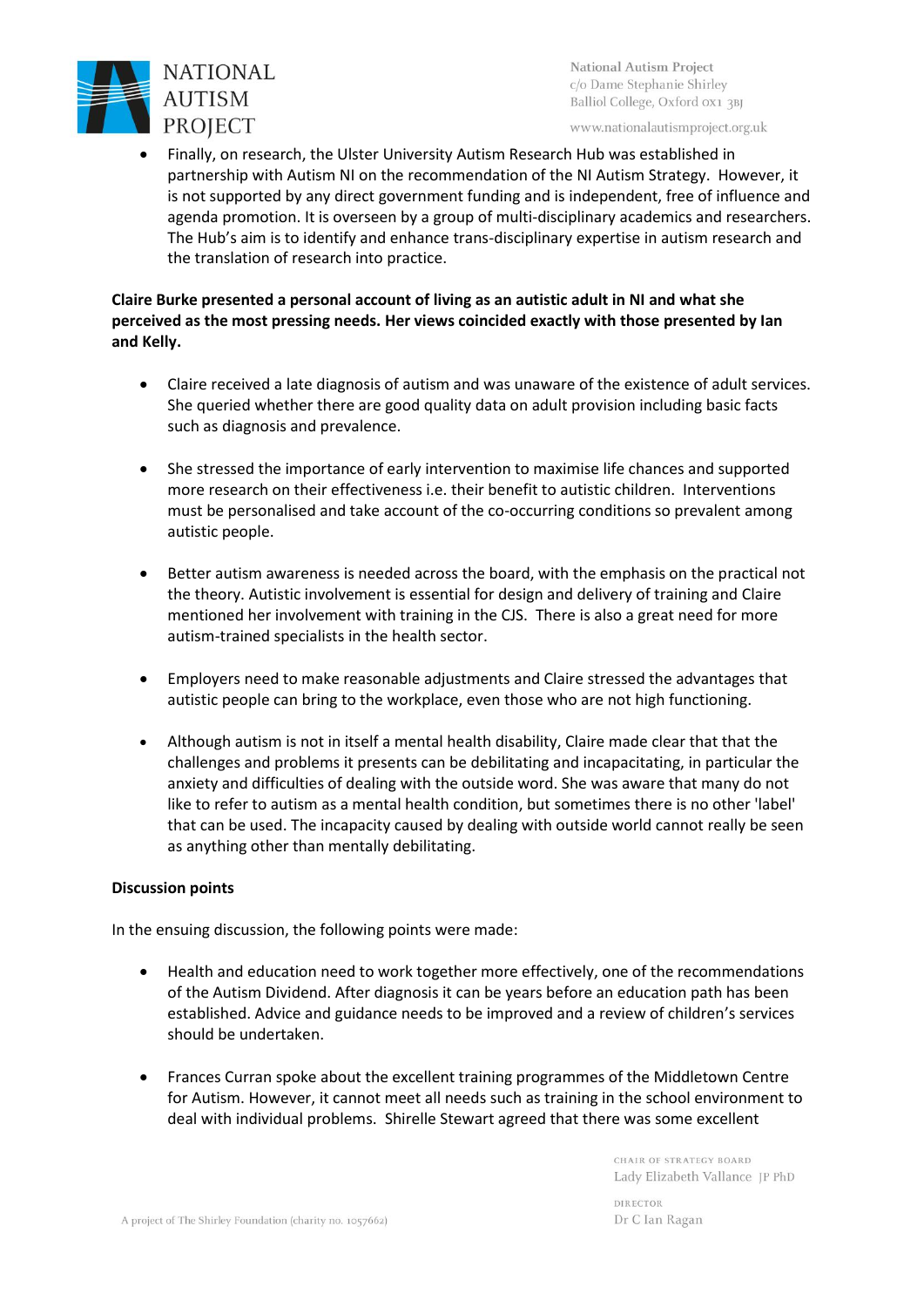

National Autism Project c/o Dame Stephanie Shirley Balliol College, Oxford 0x1 3BJ

www.nationalautismproject.org.uk

• Finally, on research, the Ulster University Autism Research Hub was established in partnership with Autism NI on the recommendation of the NI Autism Strategy. However, it is not supported by any direct government funding and is independent, free of influence and agenda promotion. It is overseen by a group of multi-disciplinary academics and researchers. The Hub's aim is to identify and enhance trans-disciplinary expertise in autism research and the translation of research into practice.

# **Claire Burke presented a personal account of living as an autistic adult in NI and what she perceived as the most pressing needs. Her views coincided exactly with those presented by Ian and Kelly.**

- Claire received a late diagnosis of autism and was unaware of the existence of adult services. She queried whether there are good quality data on adult provision including basic facts such as diagnosis and prevalence.
- She stressed the importance of early intervention to maximise life chances and supported more research on their effectiveness i.e. their benefit to autistic children. Interventions must be personalised and take account of the co-occurring conditions so prevalent among autistic people.
- Better autism awareness is needed across the board, with the emphasis on the practical not the theory. Autistic involvement is essential for design and delivery of training and Claire mentioned her involvement with training in the CJS. There is also a great need for more autism-trained specialists in the health sector.
- Employers need to make reasonable adjustments and Claire stressed the advantages that autistic people can bring to the workplace, even those who are not high functioning.
- Although autism is not in itself a mental health disability, Claire made clear that that the challenges and problems it presents can be debilitating and incapacitating, in particular the anxiety and difficulties of dealing with the outside word. She was aware that many do not like to refer to autism as a mental health condition, but sometimes there is no other 'label' that can be used. The incapacity caused by dealing with outside world cannot really be seen as anything other than mentally debilitating.

# **Discussion points**

In the ensuing discussion, the following points were made:

- Health and education need to work together more effectively, one of the recommendations of the Autism Dividend. After diagnosis it can be years before an education path has been established. Advice and guidance needs to be improved and a review of children's services should be undertaken.
- Frances Curran spoke about the excellent training programmes of the Middletown Centre for Autism. However, it cannot meet all needs such as training in the school environment to deal with individual problems. Shirelle Stewart agreed that there was some excellent

CHAIR OF STRATEGY BOARD Lady Elizabeth Vallance JP PhD